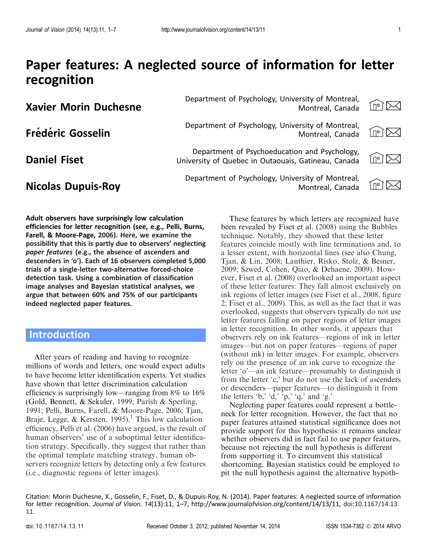<span id="page-0-0"></span>Xavier Morin Duchesne [#](http://iub.academia.edu/XavierMorinDuchesne) [\\$](mailto:xavmorin@indiana.edu) Department of Psychology, University of Montreal, Montreal, Canada

**Frederic Gosselin Exercise Exercise Separtment of Psychology, University of Montreal,**  $\sim$ Montreal, Canada

Department of Psychoeducation and Psychology,<br>
University of Quebec in Outaouais, Gatineau, Canada 10 M

**Nicolas Dupuis-Roy 1998 Department of Psychology, University of Montreal, 1998 Nicolas Dupuis-Roy** Montreal, Canada

Adult observers have surprisingly low calculation efficiencies for letter recognition (see, e.g., Pelli, Burns, Farell, & Moore-Page, [2006\)](#page-6-0). Here, we examine the possibility that this is partly due to observers' neglecting paper features (e.g., the absence of ascenders and descenders in 'o'). Each of 16 observers completed 5,000 trials of a single-letter two-alternative forced-choice detection task. Using a combination of classification image analyses and Bayesian statistical analyses, we argue that between 60% and 75% of our participants indeed neglected paper features.

# Introduction

After years of reading and having to recognize millions of words and letters, one would expect adults to have become letter identification experts. Yet studies have shown that letter discrimination calculation efficiency is surprisingly low—ranging from 8% to 16% (Gold, Bennett, & Sekuler, [1999;](#page-5-0) Parish & Sperling, [1991;](#page-6-0) Pelli, Burns, Farell, & Moore-Page, [2006;](#page-6-0) Tjan, Braje, Legge, & Kersten, [1995](#page-6-0)).<sup>[1](#page-5-0)</sup> This low calculation efficiency, Pelli et al. [\(2006](#page-6-0)) have argued, is the result of human observers' use of a suboptimal letter identification strategy. Specifically, they suggest that rather than the optimal template matching strategy, human observers recognize letters by detecting only a few features (i.e., diagnostic regions of letter images).

These features by which letters are recognized have been revealed by Fiset et al. ([2008\)](#page-5-0) using the Bubbles technique. Notably, they showed that these letter features coincide mostly with line terminations and, to a lesser extent, with horizontal lines (see also Chung, Tjan, & Lin, [2008](#page-5-0); Lanthier, Risko, Stolz, & Besner, [2009;](#page-5-0) Szwed, Cohen, Qiao, & Dehaene, [2009](#page-6-0)). However, Fiset et al. ([2008](#page-5-0)) overlooked an important aspect of these letter features: They fall almost exclusively on ink regions of letter images (see Fiset et al., [2008,](#page-5-0) figure 2; Fiset et al., [2009\)](#page-5-0). This, as well as the fact that it was overlooked, suggests that observers typically do not use letter features falling on paper regions of letter images in letter recognition. In other words, it appears that observers rely on ink features—regions of ink in letter images—but not on paper features—regions of paper (without ink) in letter images. For example, observers rely on the presence of an ink curve to recognize the letter 'o'—an ink feature—presumably to distinguish it from the letter 'c,' but do not use the lack of ascenders or descenders—paper features—to distinguish it from the letters 'b,' 'd,' 'p,' 'q,' and 'g.'

Neglecting paper features could represent a bottleneck for letter recognition. However, the fact that no paper features attained statistical significance does not provide support for this hypothesis: it remains unclear whether observers did in fact fail to use paper features, because not rejecting the null hypothesis is different from supporting it. To circumvent this statistical shortcoming, Bayesian statistics could be employed to pit the null hypothesis against the alternative hypoth-

Citation: Morin Duchesne, X., Gosselin, F., Fiset, D., & Dupuis-Roy, N. (2014). Paper features: A neglected source of information for letter recognition. Journal of Vision, 14(13):11, 1–7, http://www.journalofvision.org/content/14/13/11, doi:10.1167/14.13. 11.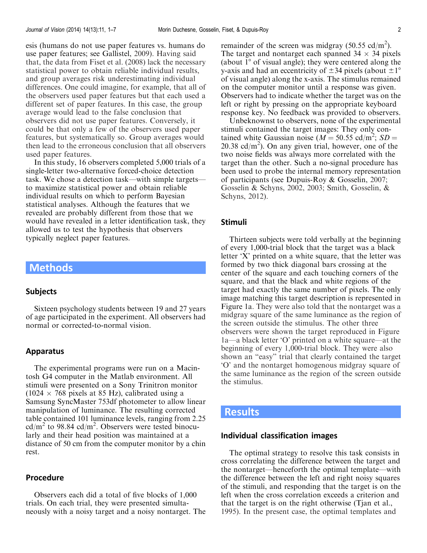esis (humans do not use paper features vs. humans do use paper features; see Gallistel, [2009](#page-5-0)). Having said that, the data from Fiset et al. [\(2008](#page-5-0)) lack the necessary statistical power to obtain reliable individual results, and group averages risk underestimating individual differences. One could imagine, for example, that all of the observers used paper features but that each used a different set of paper features. In this case, the group average would lead to the false conclusion that observers did not use paper features. Conversely, it could be that only a few of the observers used paper features, but systematically so. Group averages would then lead to the erroneous conclusion that all observers used paper features.

In this study, 16 observers completed 5,000 trials of a single-letter two-alternative forced-choice detection task. We chose a detection task—with simple targets to maximize statistical power and obtain reliable individual results on which to perform Bayesian statistical analyses. Although the features that we revealed are probably different from those that we would have revealed in a letter identification task, they allowed us to test the hypothesis that observers typically neglect paper features.

### Methods

### Subjects

Sixteen psychology students between 19 and 27 years of age participated in the experiment. All observers had normal or corrected-to-normal vision.

#### Apparatus

The experimental programs were run on a Macintosh G4 computer in the Matlab environment. All stimuli were presented on a Sony Trinitron monitor  $(1024 \times 768$  pixels at 85 Hz), calibrated using a Samsung SyncMaster 753df photometer to allow linear manipulation of luminance. The resulting corrected table contained 101 luminance levels, ranging from 2.25  $cd/m<sup>2</sup>$  to 98.84  $cd/m<sup>2</sup>$ . Observers were tested binocularly and their head position was maintained at a distance of 50 cm from the computer monitor by a chin rest.

#### Procedure

Observers each did a total of five blocks of 1,000 trials. On each trial, they were presented simultaneously with a noisy target and a noisy nontarget. The

remainder of the screen was midgray (50.55 cd/m<sup>2</sup>). The target and nontarget each spanned  $34 \times 34$  pixels (about  $1^{\circ}$  of visual angle); they were centered along the y-axis and had an eccentricity of  $\pm$ 34 pixels (about  $\pm$ 1<sup>°</sup> of visual angle) along the x-axis. The stimulus remained on the computer monitor until a response was given. Observers had to indicate whether the target was on the left or right by pressing on the appropriate keyboard response key. No feedback was provided to observers.

Unbeknownst to observers, none of the experimental stimuli contained the target images: They only contained white Gaussian noise ( $M = 50.55$  cd/m<sup>2</sup>; SD = 20.38 cd/m<sup>2</sup>). On any given trial, however, one of the two noise fields was always more correlated with the target than the other. Such a no-signal procedure has been used to probe the internal memory representation of participants (see Dupuis-Roy & Gosselin, [2007](#page-5-0); Gosselin & Schyns, [2002](#page-5-0), [2003;](#page-5-0) Smith, Gosselin, & Schyns, [2012](#page-6-0)).

#### Stimuli

Thirteen subjects were told verbally at the beginning of every 1,000-trial block that the target was a black letter 'X' printed on a white square, that the letter was formed by two thick diagonal bars crossing at the center of the square and each touching corners of the square, and that the black and white regions of the target had exactly the same number of pixels. The only image matching this target description is represented in [Figure 1a.](#page-2-0) They were also told that the nontarget was a midgray square of the same luminance as the region of the screen outside the stimulus. The other three observers were shown the target reproduced in [Figure](#page-2-0) [1a—](#page-2-0)a black letter 'O' printed on a white square—at the beginning of every 1,000-trial block. They were also shown an "easy" trial that clearly contained the target 'O' and the nontarget homogenous midgray square of the same luminance as the region of the screen outside the stimulus.

### Results

#### Individual classification images

The optimal strategy to resolve this task consists in cross correlating the difference between the target and the nontarget—henceforth the optimal template—with the difference between the left and right noisy squares of the stimuli, and responding that the target is on the left when the cross correlation exceeds a criterion and that the target is on the right otherwise (Tjan et al., [1995\)](#page-6-0). In the present case, the optimal templates and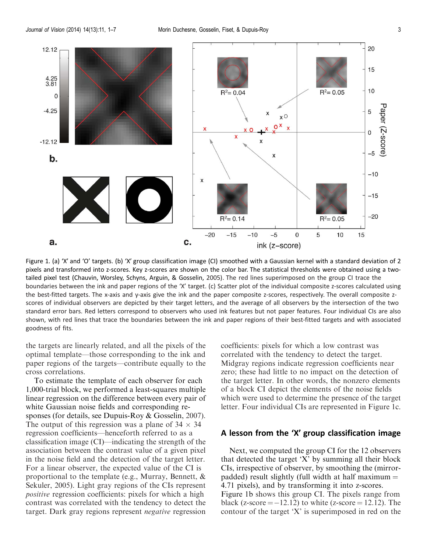<span id="page-2-0"></span>

Figure 1. (a) 'X' and 'O' targets. (b) 'X' group classification image (CI) smoothed with a Gaussian kernel with a standard deviation of 2 pixels and transformed into z-scores. Key z-scores are shown on the color bar. The statistical thresholds were obtained using a twotailed pixel test (Chauvin, Worsley, Schyns, Arguin, & Gosselin, [2005\)](#page-5-0). The red lines superimposed on the group CI trace the boundaries between the ink and paper regions of the 'X' target. (c) Scatter plot of the individual composite z-scores calculated using the best-fitted targets. The x-axis and y-axis give the ink and the paper composite z-scores, respectively. The overall composite zscores of individual observers are depicted by their target letters, and the average of all observers by the intersection of the two standard error bars. Red letters correspond to observers who used ink features but not paper features. Four individual CIs are also shown, with red lines that trace the boundaries between the ink and paper regions of their best-fitted targets and with associated goodness of fits.

the targets are linearly related, and all the pixels of the optimal template—those corresponding to the ink and paper regions of the targets—contribute equally to the cross correlations.

To estimate the template of each observer for each 1,000-trial block, we performed a least-squares multiple linear regression on the difference between every pair of white Gaussian noise fields and corresponding responses (for details, see Dupuis-Roy & Gosselin, [2007](#page-5-0)). The output of this regression was a plane of  $34 \times 34$ regression coefficients—henceforth referred to as a classification image (CI)—indicating the strength of the association between the contrast value of a given pixel in the noise field and the detection of the target letter. For a linear observer, the expected value of the CI is proportional to the template (e.g., Murray, Bennett, & Sekuler, [2005](#page-6-0)). Light gray regions of the CIs represent positive regression coefficients: pixels for which a high contrast was correlated with the tendency to detect the target. Dark gray regions represent negative regression

coefficients: pixels for which a low contrast was correlated with the tendency to detect the target. Midgray regions indicate regression coefficients near zero; these had little to no impact on the detection of the target letter. In other words, the nonzero elements of a block CI depict the elements of the noise fields which were used to determine the presence of the target letter. Four individual CIs are represented in Figure 1c.

#### A lesson from the 'X' group classification image

Next, we computed the group CI for the 12 observers that detected the target 'X' by summing all their block CIs, irrespective of observer, by smoothing the (mirrorpadded) result slightly (full width at half maximum  $=$ 4.71 pixels), and by transforming it into z-scores. Figure 1b shows this group CI. The pixels range from black (z-score  $= -12.12$ ) to white (z-score  $= 12.12$ ). The contour of the target 'X' is superimposed in red on the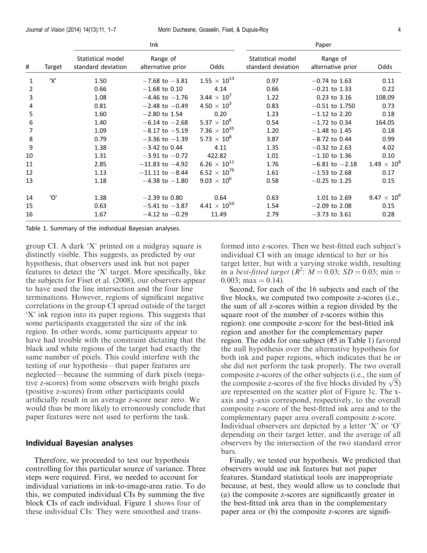<span id="page-3-0"></span>

| #              | Target      | Ink                                     |                               |                                | Paper                                   |                               |                      |
|----------------|-------------|-----------------------------------------|-------------------------------|--------------------------------|-----------------------------------------|-------------------------------|----------------------|
|                |             | Statistical model<br>standard deviation | Range of<br>alternative prior | Odds                           | Statistical model<br>standard deviation | Range of<br>alternative prior | Odds                 |
| $\mathbf{1}$   | 'X'         | 1.50                                    | $-7.68$ to $-3.81$            | $1.55 \times 10^{13}$          | 0.97                                    | $-0.74$ to 1.63               | 0.11                 |
| $\overline{2}$ |             | 0.66                                    | $-1.68$ to 0.10               | 4.14                           | 0.66                                    | $-0.21$ to 1.33               | 0.22                 |
| 3              |             | 1.08                                    | $-4.46$ to $-1.76$            | 3.44 $\times$ 10 <sup>7</sup>  | 1.22                                    | $0.23$ to $3.16$              | 108.09               |
| 4              |             | 0.81                                    | $-2.48$ to $-0.49$            | $4.50 \times 10^{3}$           | 0.83                                    | $-0.51$ to 1.750              | 0.73                 |
| 5              |             | 1.60                                    | $-2.80$ to 1.54               | 0.20                           | 1.23                                    | $-1.12$ to 2.20               | 0.18                 |
| 6              |             | 1.40                                    | $-6.14$ to $-2.68$            | $5.37 \times 10^{6}$           | 0.54                                    | $-1.72$ to 0.34               | 164.05               |
|                |             | 1.09                                    | $-8.17$ to $-5.19$            | 7.36 $\times$ 10 <sup>35</sup> | 1.20                                    | $-1.48$ to 1.45               | 0.18                 |
| 8              |             | 0.79                                    | $-3.36$ to $-1.39$            | 5.73 $\times$ 10 <sup>8</sup>  | 3.87                                    | $-8.72$ to 0.44               | 0.99                 |
| 9              |             | 1.38                                    | $-3.42$ to 0.44               | 4.11                           | 1.35                                    | $-0.32$ to 2.63               | 4.02                 |
| 10             |             | 1.31                                    | $-3.91$ to $-0.72$            | 422.82                         | 1.01                                    | $-1.10$ to 1.36               | 0.10                 |
| 11             |             | 2.85                                    | $-11.83$ to $-4.92$           | $6.26 \times 10^{11}$          | 1.76                                    | $-6.81$ to $-2.18$            | $1.49 \times 10^{8}$ |
| 12             |             | 1.13                                    | $-11.11$ to $-8.44$           | $6.52 \times 10^{76}$          | 1.61                                    | $-1.53$ to 2.68               | 0.17                 |
| 13             |             | 1.18                                    | $-4.38$ to $-1.80$            | $9.03 \times 10^{6}$           | 0.58                                    | $-0.25$ to 1.25               | 0.15                 |
| 14             | $' \Omega'$ | 1.38                                    | $-2.39$ to 0.80               | 0.64                           | 0.63                                    | 1.01 to 2.69                  | $9.47 \times 10^{6}$ |
| 15             |             | 0.63                                    | $-5.41$ to $-3.87$            | $4.41 \times 10^{59}$          | 1.54                                    | $-2.09$ to 2.08               | 0.15                 |
| 16             |             | 1.67                                    | $-4.12$ to $-0.29$            | 11.49                          | 2.79                                    | $-3.73$ to 3.61               | 0.28                 |

Table 1. Summary of the individual Bayesian analyses.

group CI. A dark 'X' printed on a midgray square is distinctly visible. This suggests, as predicted by our hypothesis, that observers used ink but not paper features to detect the 'X' target. More specifically, like the subjects for Fiset et al. ([2008\)](#page-5-0), our observers appear to have used the line intersection and the four line terminations. However, regions of significant negative correlations in the group CI spread outside of the target 'X' ink region into its paper regions. This suggests that some participants exaggerated the size of the ink region. In other words, some participants appear to have had trouble with the constraint dictating that the black and white regions of the target had exactly the same number of pixels. This could interfere with the testing of our hypothesis—that paper features are neglected—because the summing of dark pixels (negative z-scores) from some observers with bright pixels (positive z-scores) from other participants could artificially result in an average z-score near zero. We would thus be more likely to erroneously conclude that paper features were not used to perform the task.

#### Individual Bayesian analyses

Therefore, we proceeded to test our hypothesis controlling for this particular source of variance. Three steps were required. First, we needed to account for individual variations in ink-to-image-area ratio. To do this, we computed individual CIs by summing the five block CIs of each individual. [Figure 1](#page-2-0) shows four of these individual CIs: They were smoothed and transformed into z-scores. Then we best-fitted each subject's individual CI with an image identical to her or his target letter, but with a varying stroke width, resulting in a *best-fitted target*  $(R^2: M = 0.03; SD = 0.03; min =$ 0.003; max  $= 0.14$ .

Second, for each of the 16 subjects and each of the five blocks, we computed two composite z-scores (i.e., the sum of all z-scores within a region divided by the square root of the number of z-scores within this region): one composite z-score for the best-fitted ink region and another for the complementary paper region. The odds for one subject (#5 in Table 1) favored the null hypothesis over the alternative hypothesis for both ink and paper regions, which indicates that he or she did not perform the task properly. The two overall composite z-scores of the other subjects (i.e., the sum of composite z-scores of the other subjects (i.e., the sum of the composite z-scores of the five blocks divided by  $\sqrt{5}$ ) are represented on the scatter plot of [Figure 1c](#page-2-0). The xaxis and y-axis correspond, respectively, to the overall composite z-score of the best-fitted ink area and to the complementary paper area overall composite z-score. Individual observers are depicted by a letter 'X' or 'O' depending on their target letter, and the average of all observers by the intersection of the two standard error bars.

Finally, we tested our hypothesis. We predicted that observers would use ink features but not paper features. Standard statistical tools are inappropriate because, at best, they would allow us to conclude that (a) the composite z-scores are significantly greater in the best-fitted ink area than in the complementary paper area or (b) the composite z-scores are signifi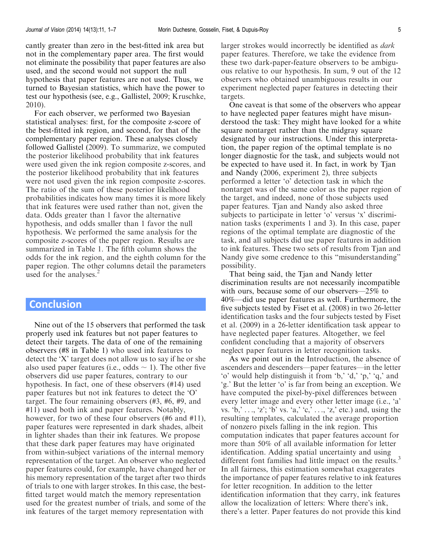cantly greater than zero in the best-fitted ink area but not in the complementary paper area. The first would not eliminate the possibility that paper features are also used, and the second would not support the null hypothesis that paper features are not used. Thus, we turned to Bayesian statistics, which have the power to test our hypothesis (see, e.g., Gallistel, [2009;](#page-5-0) Kruschke, [2010\)](#page-5-0).

For each observer, we performed two Bayesian statistical analyses: first, for the composite z-score of the best-fitted ink region, and second, for that of the complementary paper region. These analyses closely followed Gallistel ([2009\)](#page-5-0). To summarize, we computed the posterior likelihood probability that ink features were used given the ink region composite z-scores, and the posterior likelihood probability that ink features were not used given the ink region composite z-scores. The ratio of the sum of these posterior likelihood probabilities indicates how many times it is more likely that ink features were used rather than not, given the data. Odds greater than 1 favor the alternative hypothesis, and odds smaller than 1 favor the null hypothesis. We performed the same analysis for the composite z-scores of the paper region. Results are summarized in [Table 1.](#page-3-0) The fifth column shows the odds for the ink region, and the eighth column for the paper region. The other columns detail the parameters used for the analyses. $<sup>2</sup>$ </sup>

# **Conclusion**

Nine out of the 15 observers that performed the task properly used ink features but not paper features to detect their targets. The data of one of the remaining observers (#8 in [Table 1](#page-3-0)) who used ink features to detect the 'X' target does not allow us to say if he or she also used paper features (i.e., odds  $\sim$  1). The other five observers did use paper features, contrary to our hypothesis. In fact, one of these observers (#14) used paper features but not ink features to detect the 'O' target. The four remaining observers (#3, #6, #9, and #11) used both ink and paper features. Notably, however, for two of these four observers (#6 and #11), paper features were represented in dark shades, albeit in lighter shades than their ink features. We propose that these dark paper features may have originated from within-subject variations of the internal memory representation of the target. An observer who neglected paper features could, for example, have changed her or his memory representation of the target after two thirds of trials to one with larger strokes. In this case, the bestfitted target would match the memory representation used for the greatest number of trials, and some of the ink features of the target memory representation with

larger strokes would incorrectly be identified as *dark* paper features. Therefore, we take the evidence from these two dark-paper-feature observers to be ambiguous relative to our hypothesis. In sum, 9 out of the 12 observers who obtained unambiguous results in our experiment neglected paper features in detecting their targets.

One caveat is that some of the observers who appear to have neglected paper features might have misunderstood the task: They might have looked for a white square nontarget rather than the midgray square designated by our instructions. Under this interpretation, the paper region of the optimal template is no longer diagnostic for the task, and subjects would not be expected to have used it. In fact, in work by Tjan and Nandy ([2006](#page-6-0), experiment 2), three subjects performed a letter 'o' detection task in which the nontarget was of the same color as the paper region of the target, and indeed, none of those subjects used paper features. Tjan and Nandy also asked three subjects to participate in letter 'o' versus 'x' discrimination tasks (experiments 1 and 3). In this case, paper regions of the optimal template are diagnostic of the task, and all subjects did use paper features in addition to ink features. These two sets of results from Tjan and Nandy give some credence to this ''misunderstanding'' possibility.

That being said, the Tjan and Nandy letter discrimination results are not necessarily incompatible with ours, because some of our observers—25% to 40%—did use paper features as well. Furthermore, the five subjects tested by Fiset et al. [\(2008](#page-5-0)) in two 26-letter identification tasks and the four subjects tested by Fiset et al. ([2009\)](#page-5-0) in a 26-letter identification task appear to have neglected paper features. Altogether, we feel confident concluding that a majority of observers neglect paper features in letter recognition tasks.

As we point out in the [Introduction,](#page-0-0) the absence of ascenders and descenders—paper features—in the letter 'o' would help distinguish it from 'b,' 'd,' 'p,' 'q,' and 'g.' But the letter 'o' is far from being an exception. We have computed the pixel-by-pixel differences between every letter image and every other letter image (i.e., 'a' vs.  $b, \ldots, z$ ;  $b$  vs.  $a, \ldots, c, \ldots, z$ , etc.) and, using the resulting templates, calculated the average proportion of nonzero pixels falling in the ink region. This computation indicates that paper features account for more than 50% of all available information for letter identification. Adding spatial uncertainty and using different font families had little impact on the results.<sup>[3](#page-5-0)</sup> In all fairness, this estimation somewhat exaggerates the importance of paper features relative to ink features for letter recognition. In addition to the letter identification information that they carry, ink features allow the localization of letters: Where there's ink, there's a letter. Paper features do not provide this kind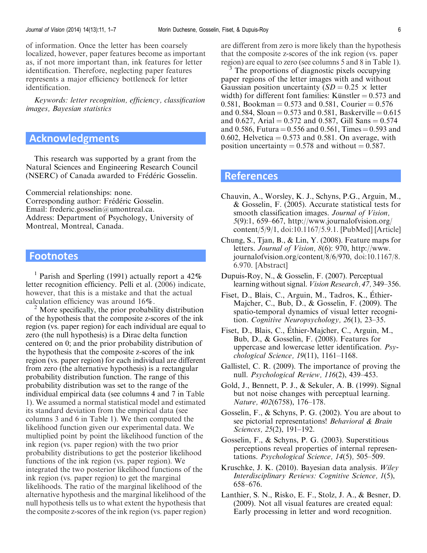<span id="page-5-0"></span>of information. Once the letter has been coarsely localized, however, paper features become as important as, if not more important than, ink features for letter identification. Therefore, neglecting paper features represents a major efficiency bottleneck for letter identification.

Keywords: letter recognition, efficiency, classification images, Bayesian statistics

## Acknowledgments

This research was supported by a grant from the Natural Sciences and Engineering Research Council (NSERC) of Canada awarded to Frédéric Gosselin.

Commercial relationships: none. Corresponding author: Frédéric Gosselin. Email: frederic.gosselin@umontreal.ca. Address: Department of Psychology, University of Montreal, Montreal, Canada.

### Footnotes

<sup>1</sup> Parish and Sperling (1991) actually report a  $42\%$ letter recognition efficiency. Pelli et al. (2006) indicate, however, that this is a mistake and that the actual

calculation efficiency was around  $16\%$ .<br><sup>2</sup> More specifically, the prior probability distribution of the hypothesis that the composite z-scores of the ink region (vs. paper region) for each individual are equal to zero (the null hypothesis) is a Dirac delta function centered on 0; and the prior probability distribution of the hypothesis that the composite z-scores of the ink region (vs. paper region) for each individual are different from zero (the alternative hypothesis) is a rectangular probability distribution function. The range of this probability distribution was set to the range of the individual empirical data (see columns 4 and 7 in Table 1). We assumed a normal statistical model and estimated its standard deviation from the empirical data (see columns 3 and 6 in Table 1). We then computed the likelihood function given our experimental data. We multiplied point by point the likelihood function of the ink region (vs. paper region) with the two prior probability distributions to get the posterior likelihood functions of the ink region (vs. paper region). We integrated the two posterior likelihood functions of the ink region (vs. paper region) to get the marginal likelihoods. The ratio of the marginal likelihood of the alternative hypothesis and the marginal likelihood of the null hypothesis tells us to what extent the hypothesis that the composite z-scores of the ink region (vs. paper region) are different from zero is more likely than the hypothesis that the composite z-scores of the ink region (vs. paper region) are equal to zero (see columns 5 and 8 in Table 1). <sup>3</sup> The proportions of diagnostic pixels occupying

paper regions of the letter images with and without Gaussian position uncertainty ( $SD = 0.25 \times$  letter width) for different font families: Künstler  $= 0.573$  and 0.581, Bookman = 0.573 and 0.581, Courier =  $0.576$ and 0.584, Sloan = 0.573 and 0.581, Baskerville =  $0.615$ and 0.627, Arial  $= 0.572$  and 0.587, Gill Sans  $= 0.574$ and 0.586, Futura =  $0.556$  and 0.561, Times = 0.593 and 0.602, Helvetica  $= 0.573$  and 0.581. On average, with position uncertainty  $= 0.578$  and without  $= 0.587$ .

### References

- Chauvin, A., Worsley, K. J., Schyns, P.G., Arguin, M., & Gosselin, F. (2005). Accurate statistical tests for smooth classification images. Journal of Vision,  $5(9)$ :1, 659–667, http://www.journalofvision.org/ content/5/9/1, doi:10.1167/5.9.1. [\[PubMed\]](http://www.ncbi.nlm.nih.gov/pubmed/16356076) [\[Article](http://www.journalofvision.org/content/5/9/1.long)]
- Chung, S., Tjan, B., & Lin, Y. (2008). Feature maps for letters. Journal of Vision, 8(6): 970, http://www. journalofvision.org/content/8/6/970, doi:10.1167/8. 6.970. [\[Abstract\]](http://www.journalofvision.org/content/8/6/970)
- Dupuis-Roy, N., & Gosselin, F. (2007). Perceptual learning without signal. Vision Research, 47, 349–356.
- Fiset, D., Blais, C., Arguin, M., Tadros, K., Éthier-Majcher, C., Bub, D., & Gosselin, F. (2009). The spatio-temporal dynamics of visual letter recognition. Cognitive Neuropsychology, 26(1), 23–35.
- Fiset, D., Blais, C., Éthier-Majcher, C., Arguin, M., Bub, D., & Gosselin, F. (2008). Features for uppercase and lowercase letter identification. Psychological Science, 19(11), 1161–1168.
- Gallistel, C. R. (2009). The importance of proving the null. Psychological Review, 116(2), 439–453.
- Gold, J., Bennett, P. J., & Sekuler, A. B. (1999). Signal but not noise changes with perceptual learning. Nature, 402(6758), 176–178.
- Gosselin, F., & Schyns, P. G. (2002). You are about to see pictorial representations! Behavioral & Brain Sciences, 25(2), 191–192.
- Gosselin, F., & Schyns, P. G. (2003). Superstitious perceptions reveal properties of internal representations. Psychological Science, 14(5), 505–509.
- Kruschke, J. K. (2010). Bayesian data analysis. Wiley Interdisciplinary Reviews: Cognitive Science, 1(5), 658–676.
- Lanthier, S. N., Risko, E. F., Stolz, J. A., & Besner, D. (2009). Not all visual features are created equal: Early processing in letter and word recognition.